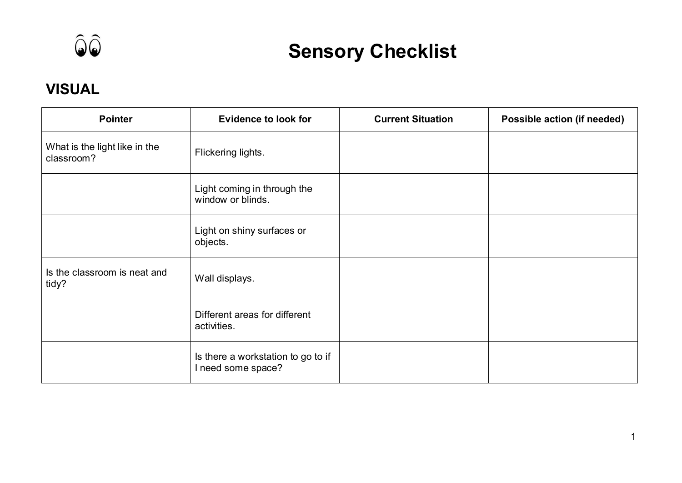

## **Sensory Checklist**

## **VISUAL**

| <b>Pointer</b>                              | <b>Evidence to look for</b>                              | <b>Current Situation</b> | Possible action (if needed) |
|---------------------------------------------|----------------------------------------------------------|--------------------------|-----------------------------|
| What is the light like in the<br>classroom? | Flickering lights.                                       |                          |                             |
|                                             | Light coming in through the<br>window or blinds.         |                          |                             |
|                                             | Light on shiny surfaces or<br>objects.                   |                          |                             |
| Is the classroom is neat and<br>tidy?       | Wall displays.                                           |                          |                             |
|                                             | Different areas for different<br>activities.             |                          |                             |
|                                             | Is there a workstation to go to if<br>I need some space? |                          |                             |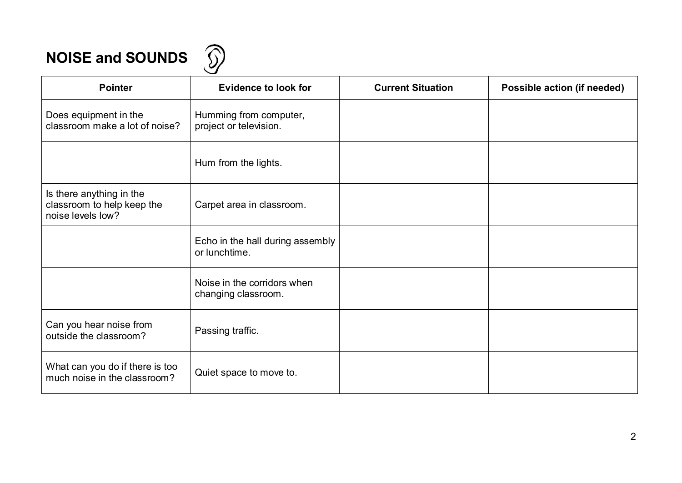## **NOISE and SOUNDS**  $\widehat{D}$

| <b>Pointer</b>                                                              | <b>Evidence to look for</b>                        | <b>Current Situation</b> | Possible action (if needed) |
|-----------------------------------------------------------------------------|----------------------------------------------------|--------------------------|-----------------------------|
| Does equipment in the<br>classroom make a lot of noise?                     | Humming from computer,<br>project or television.   |                          |                             |
|                                                                             | Hum from the lights.                               |                          |                             |
| Is there anything in the<br>classroom to help keep the<br>noise levels low? | Carpet area in classroom.                          |                          |                             |
|                                                                             | Echo in the hall during assembly<br>or lunchtime.  |                          |                             |
|                                                                             | Noise in the corridors when<br>changing classroom. |                          |                             |
| Can you hear noise from<br>outside the classroom?                           | Passing traffic.                                   |                          |                             |
| What can you do if there is too<br>much noise in the classroom?             | Quiet space to move to.                            |                          |                             |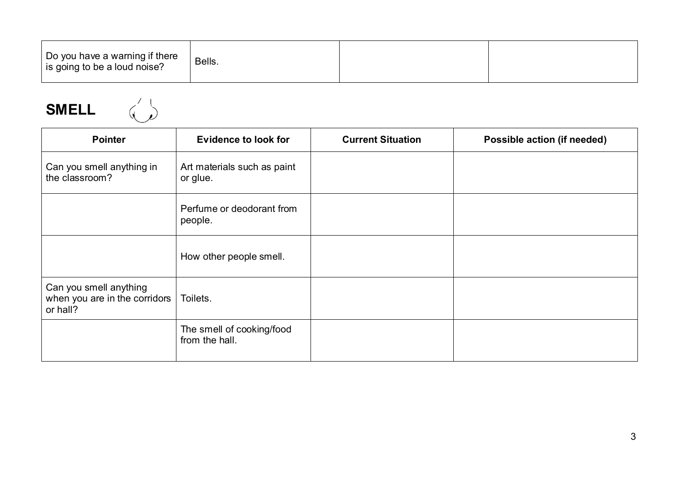| Do you have a warning if there<br>is going to be a loud noise? | Bells. |  |  |
|----------------------------------------------------------------|--------|--|--|
|----------------------------------------------------------------|--------|--|--|

**SMELL** 

| <b>Pointer</b>                                                      | <b>Evidence to look for</b>                 | <b>Current Situation</b> | Possible action (if needed) |
|---------------------------------------------------------------------|---------------------------------------------|--------------------------|-----------------------------|
| Can you smell anything in<br>the classroom?                         | Art materials such as paint<br>or glue.     |                          |                             |
|                                                                     | Perfume or deodorant from<br>people.        |                          |                             |
|                                                                     | How other people smell.                     |                          |                             |
| Can you smell anything<br>when you are in the corridors<br>or hall? | Toilets.                                    |                          |                             |
|                                                                     | The smell of cooking/food<br>from the hall. |                          |                             |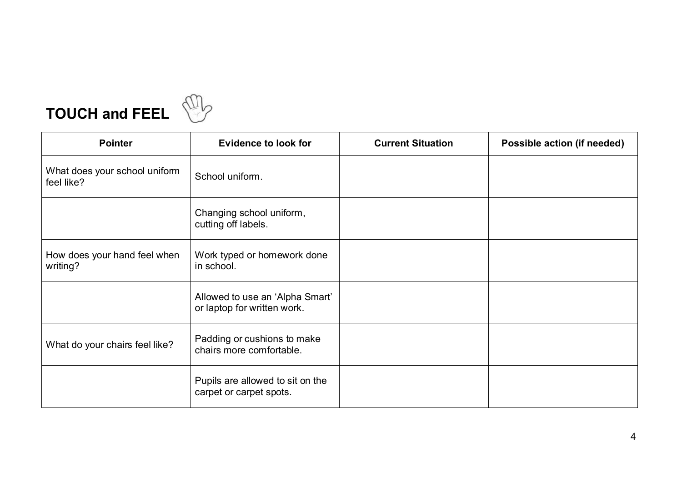



| <b>Pointer</b>                              | <b>Evidence to look for</b>                                    | <b>Current Situation</b> | Possible action (if needed) |
|---------------------------------------------|----------------------------------------------------------------|--------------------------|-----------------------------|
| What does your school uniform<br>feel like? | School uniform.                                                |                          |                             |
|                                             | Changing school uniform,<br>cutting off labels.                |                          |                             |
| How does your hand feel when<br>writing?    | Work typed or homework done<br>in school.                      |                          |                             |
|                                             | Allowed to use an 'Alpha Smart'<br>or laptop for written work. |                          |                             |
| What do your chairs feel like?              | Padding or cushions to make<br>chairs more comfortable.        |                          |                             |
|                                             | Pupils are allowed to sit on the<br>carpet or carpet spots.    |                          |                             |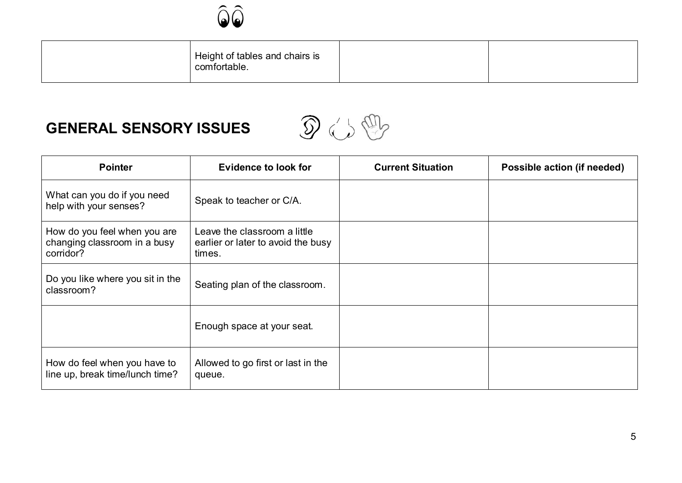

| Height of tables and chairs is<br>comfortable. |  |
|------------------------------------------------|--|
|------------------------------------------------|--|

## **GENERAL SENSORY ISSUES**



| <b>Pointer</b>                                                            | <b>Evidence to look for</b>                                                  | <b>Current Situation</b> | Possible action (if needed) |
|---------------------------------------------------------------------------|------------------------------------------------------------------------------|--------------------------|-----------------------------|
| What can you do if you need<br>help with your senses?                     | Speak to teacher or C/A.                                                     |                          |                             |
| How do you feel when you are<br>changing classroom in a busy<br>corridor? | Leave the classroom a little<br>earlier or later to avoid the busy<br>times. |                          |                             |
| Do you like where you sit in the<br>classroom?                            | Seating plan of the classroom.                                               |                          |                             |
|                                                                           | Enough space at your seat.                                                   |                          |                             |
| How do feel when you have to<br>line up, break time/lunch time?           | Allowed to go first or last in the<br>queue.                                 |                          |                             |